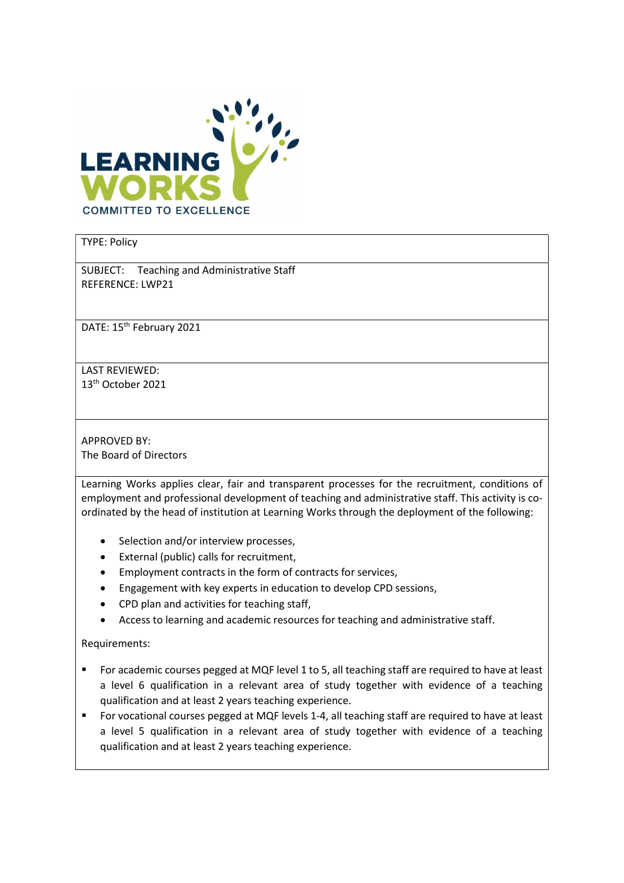

## TYPE: Policy

SUBJECT: Teaching and Administrative Staff REFERENCE: LWP21

DATE: 15<sup>th</sup> February 2021

LAST REVIEWED: 13th October 2021

APPROVED BY: The Board of Directors

Learning Works applies clear, fair and transparent processes for the recruitment, conditions of employment and professional development of teaching and administrative staff. This activity is coordinated by the head of institution at Learning Works through the deployment of the following:

- Selection and/or interview processes,
- External (public) calls for recruitment,
- Employment contracts in the form of contracts for services,
- Engagement with key experts in education to develop CPD sessions,
- CPD plan and activities for teaching staff,
- Access to learning and academic resources for teaching and administrative staff.

Requirements:

- For academic courses pegged at MQF level 1 to 5, all teaching staff are required to have at least a level 6 qualification in a relevant area of study together with evidence of a teaching qualification and at least 2 years teaching experience.
- **F** For vocational courses pegged at MQF levels 1-4, all teaching staff are required to have at least a level 5 qualification in a relevant area of study together with evidence of a teaching qualification and at least 2 years teaching experience.